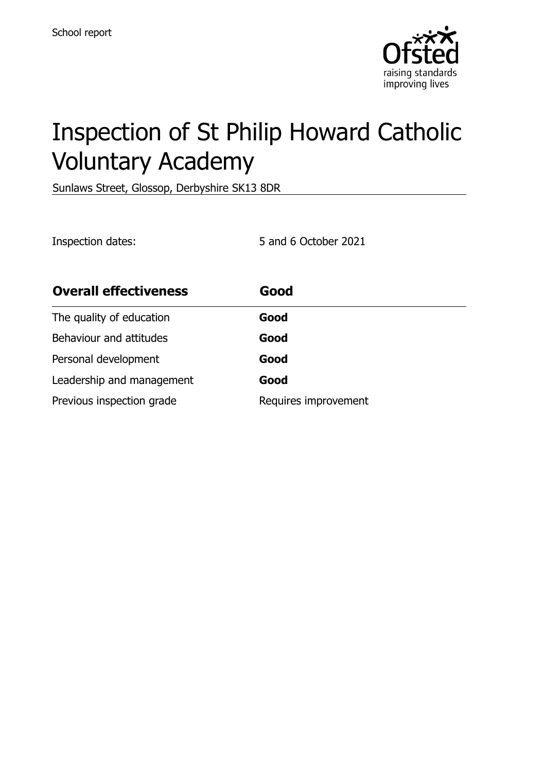

# Inspection of St Philip Howard Catholic Voluntary Academy

Sunlaws Street, Glossop, Derbyshire SK13 8DR

Inspection dates: 5 and 6 October 2021

| <b>Overall effectiveness</b> | Good                 |
|------------------------------|----------------------|
| The quality of education     | Good                 |
| Behaviour and attitudes      | Good                 |
| Personal development         | Good                 |
| Leadership and management    | Good                 |
| Previous inspection grade    | Requires improvement |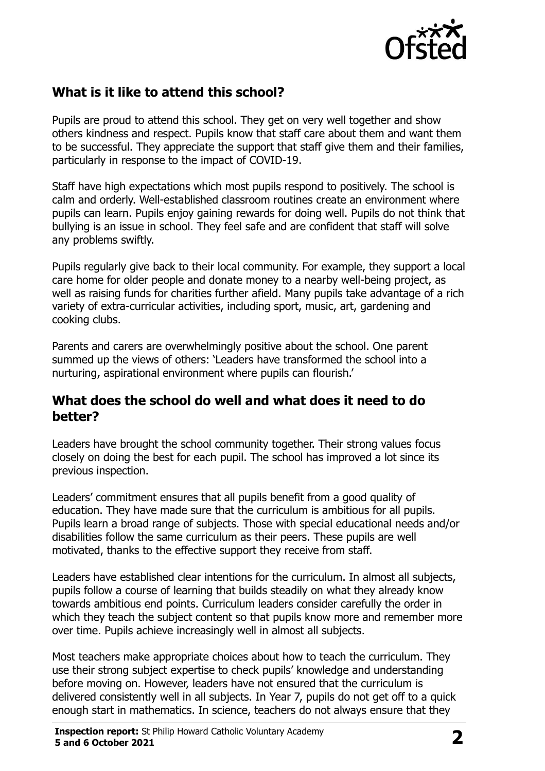

# **What is it like to attend this school?**

Pupils are proud to attend this school. They get on very well together and show others kindness and respect. Pupils know that staff care about them and want them to be successful. They appreciate the support that staff give them and their families, particularly in response to the impact of COVID-19.

Staff have high expectations which most pupils respond to positively. The school is calm and orderly. Well-established classroom routines create an environment where pupils can learn. Pupils enjoy gaining rewards for doing well. Pupils do not think that bullying is an issue in school. They feel safe and are confident that staff will solve any problems swiftly.

Pupils regularly give back to their local community. For example, they support a local care home for older people and donate money to a nearby well-being project, as well as raising funds for charities further afield. Many pupils take advantage of a rich variety of extra-curricular activities, including sport, music, art, gardening and cooking clubs.

Parents and carers are overwhelmingly positive about the school. One parent summed up the views of others: 'Leaders have transformed the school into a nurturing, aspirational environment where pupils can flourish.'

#### **What does the school do well and what does it need to do better?**

Leaders have brought the school community together. Their strong values focus closely on doing the best for each pupil. The school has improved a lot since its previous inspection.

Leaders' commitment ensures that all pupils benefit from a good quality of education. They have made sure that the curriculum is ambitious for all pupils. Pupils learn a broad range of subjects. Those with special educational needs and/or disabilities follow the same curriculum as their peers. These pupils are well motivated, thanks to the effective support they receive from staff.

Leaders have established clear intentions for the curriculum. In almost all subjects, pupils follow a course of learning that builds steadily on what they already know towards ambitious end points. Curriculum leaders consider carefully the order in which they teach the subject content so that pupils know more and remember more over time. Pupils achieve increasingly well in almost all subjects.

Most teachers make appropriate choices about how to teach the curriculum. They use their strong subject expertise to check pupils' knowledge and understanding before moving on. However, leaders have not ensured that the curriculum is delivered consistently well in all subjects. In Year 7, pupils do not get off to a quick enough start in mathematics. In science, teachers do not always ensure that they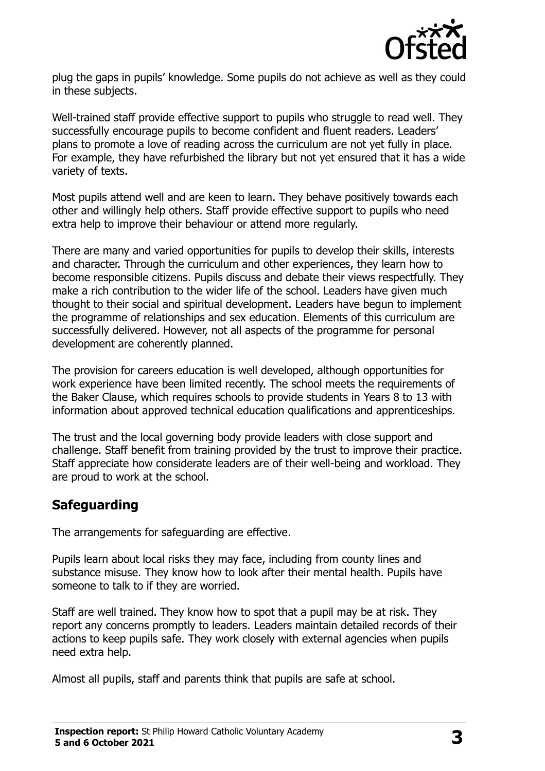

plug the gaps in pupils' knowledge. Some pupils do not achieve as well as they could in these subjects.

Well-trained staff provide effective support to pupils who struggle to read well. They successfully encourage pupils to become confident and fluent readers. Leaders' plans to promote a love of reading across the curriculum are not yet fully in place. For example, they have refurbished the library but not yet ensured that it has a wide variety of texts.

Most pupils attend well and are keen to learn. They behave positively towards each other and willingly help others. Staff provide effective support to pupils who need extra help to improve their behaviour or attend more regularly.

There are many and varied opportunities for pupils to develop their skills, interests and character. Through the curriculum and other experiences, they learn how to become responsible citizens. Pupils discuss and debate their views respectfully. They make a rich contribution to the wider life of the school. Leaders have given much thought to their social and spiritual development. Leaders have begun to implement the programme of relationships and sex education. Elements of this curriculum are successfully delivered. However, not all aspects of the programme for personal development are coherently planned.

The provision for careers education is well developed, although opportunities for work experience have been limited recently. The school meets the requirements of the Baker Clause, which requires schools to provide students in Years 8 to 13 with information about approved technical education qualifications and apprenticeships.

The trust and the local governing body provide leaders with close support and challenge. Staff benefit from training provided by the trust to improve their practice. Staff appreciate how considerate leaders are of their well-being and workload. They are proud to work at the school.

### **Safeguarding**

The arrangements for safeguarding are effective.

Pupils learn about local risks they may face, including from county lines and substance misuse. They know how to look after their mental health. Pupils have someone to talk to if they are worried.

Staff are well trained. They know how to spot that a pupil may be at risk. They report any concerns promptly to leaders. Leaders maintain detailed records of their actions to keep pupils safe. They work closely with external agencies when pupils need extra help.

Almost all pupils, staff and parents think that pupils are safe at school.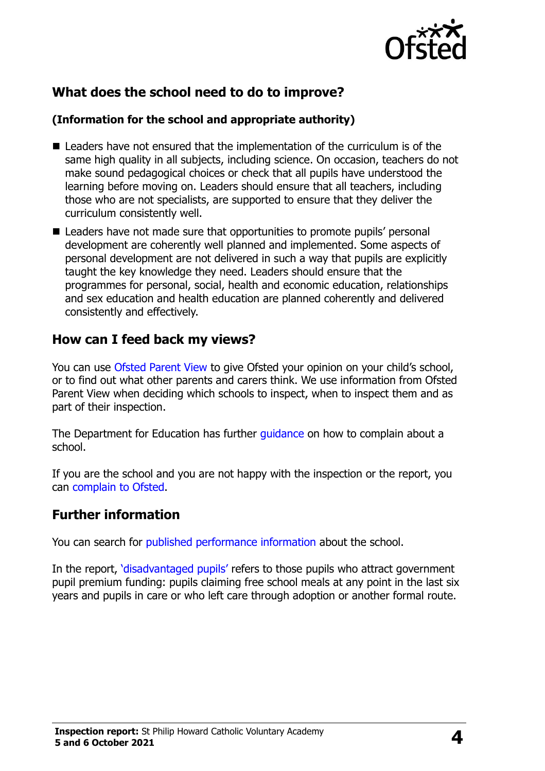

# **What does the school need to do to improve?**

#### **(Information for the school and appropriate authority)**

- $\blacksquare$  Leaders have not ensured that the implementation of the curriculum is of the same high quality in all subjects, including science. On occasion, teachers do not make sound pedagogical choices or check that all pupils have understood the learning before moving on. Leaders should ensure that all teachers, including those who are not specialists, are supported to ensure that they deliver the curriculum consistently well.
- Leaders have not made sure that opportunities to promote pupils' personal development are coherently well planned and implemented. Some aspects of personal development are not delivered in such a way that pupils are explicitly taught the key knowledge they need. Leaders should ensure that the programmes for personal, social, health and economic education, relationships and sex education and health education are planned coherently and delivered consistently and effectively.

## **How can I feed back my views?**

You can use [Ofsted Parent View](http://parentview.ofsted.gov.uk/) to give Ofsted your opinion on your child's school, or to find out what other parents and carers think. We use information from Ofsted Parent View when deciding which schools to inspect, when to inspect them and as part of their inspection.

The Department for Education has further quidance on how to complain about a school.

If you are the school and you are not happy with the inspection or the report, you can [complain to Ofsted.](http://www.gov.uk/complain-ofsted-report)

### **Further information**

You can search for [published performance information](http://www.compare-school-performance.service.gov.uk/) about the school.

In the report, '[disadvantaged pupils](http://www.gov.uk/guidance/pupil-premium-information-for-schools-and-alternative-provision-settings)' refers to those pupils who attract government pupil premium funding: pupils claiming free school meals at any point in the last six years and pupils in care or who left care through adoption or another formal route.

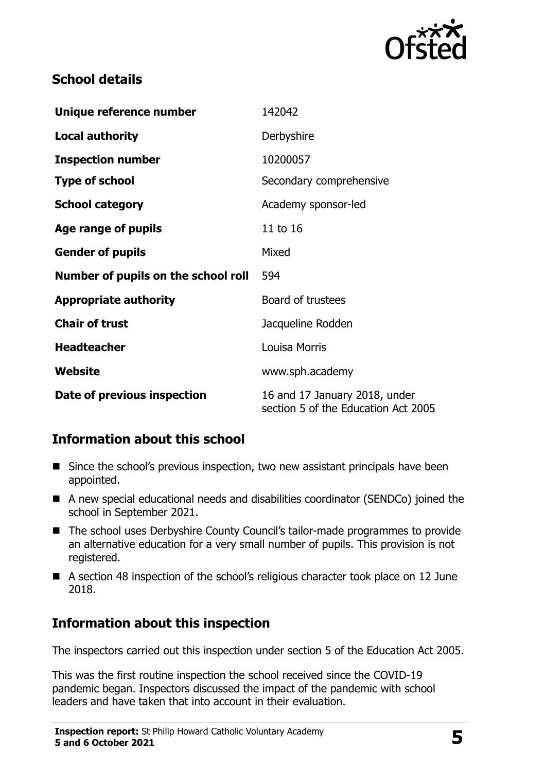

## **School details**

| Unique reference number             | 142042                                                               |
|-------------------------------------|----------------------------------------------------------------------|
| <b>Local authority</b>              | Derbyshire                                                           |
| <b>Inspection number</b>            | 10200057                                                             |
| <b>Type of school</b>               | Secondary comprehensive                                              |
| <b>School category</b>              | Academy sponsor-led                                                  |
| Age range of pupils                 | 11 to 16                                                             |
| <b>Gender of pupils</b>             | Mixed                                                                |
| Number of pupils on the school roll | 594                                                                  |
| <b>Appropriate authority</b>        | Board of trustees                                                    |
| <b>Chair of trust</b>               | Jacqueline Rodden                                                    |
| <b>Headteacher</b>                  | <b>Louisa Morris</b>                                                 |
| Website                             | www.sph.academy                                                      |
| Date of previous inspection         | 16 and 17 January 2018, under<br>section 5 of the Education Act 2005 |

# **Information about this school**

- Since the school's previous inspection, two new assistant principals have been appointed.
- A new special educational needs and disabilities coordinator (SENDCo) joined the school in September 2021.
- The school uses Derbyshire County Council's tailor-made programmes to provide an alternative education for a very small number of pupils. This provision is not registered.
- A section 48 inspection of the school's religious character took place on 12 June 2018.

# **Information about this inspection**

The inspectors carried out this inspection under section 5 of the Education Act 2005.

This was the first routine inspection the school received since the COVID-19 pandemic began. Inspectors discussed the impact of the pandemic with school leaders and have taken that into account in their evaluation.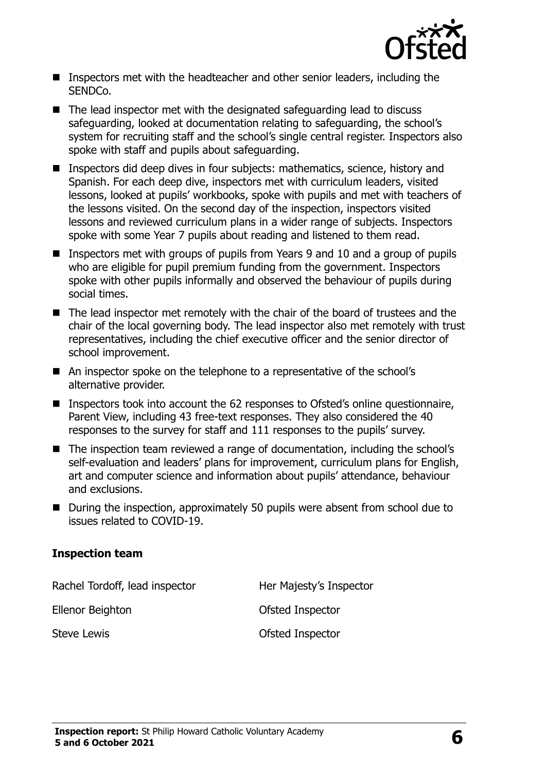

- Inspectors met with the headteacher and other senior leaders, including the SENDCo.
- The lead inspector met with the designated safeguarding lead to discuss safeguarding, looked at documentation relating to safeguarding, the school's system for recruiting staff and the school's single central register. Inspectors also spoke with staff and pupils about safeguarding.
- Inspectors did deep dives in four subjects: mathematics, science, history and Spanish. For each deep dive, inspectors met with curriculum leaders, visited lessons, looked at pupils' workbooks, spoke with pupils and met with teachers of the lessons visited. On the second day of the inspection, inspectors visited lessons and reviewed curriculum plans in a wider range of subjects. Inspectors spoke with some Year 7 pupils about reading and listened to them read.
- Inspectors met with groups of pupils from Years 9 and 10 and a group of pupils who are eligible for pupil premium funding from the government. Inspectors spoke with other pupils informally and observed the behaviour of pupils during social times.
- The lead inspector met remotely with the chair of the board of trustees and the chair of the local governing body. The lead inspector also met remotely with trust representatives, including the chief executive officer and the senior director of school improvement.
- An inspector spoke on the telephone to a representative of the school's alternative provider.
- Inspectors took into account the 62 responses to Ofsted's online questionnaire, Parent View, including 43 free-text responses. They also considered the 40 responses to the survey for staff and 111 responses to the pupils' survey.
- The inspection team reviewed a range of documentation, including the school's self-evaluation and leaders' plans for improvement, curriculum plans for English, art and computer science and information about pupils' attendance, behaviour and exclusions.
- During the inspection, approximately 50 pupils were absent from school due to issues related to COVID-19.

#### **Inspection team**

Rachel Tordoff, lead inspector **Her Majesty's Inspector** Ellenor Beighton **Contact Contact Contact Contact Contact Contact Contact Contact Contact Contact Contact Contact Contact Contact Contact Contact Contact Contact Contact Contact Contact Contact Contact Contact Contact Cont** Steve Lewis **Steve Lewis CELL CONSTRESS CONSTRESS OF STEVE OF STEVE OF STEVE OF STEVE OF STEVE OF STEVE OF STEVE OF STEVE OF STEVE OF STEVE OF STEVE OF STEVE OF STEVE OF STEVE OF STEVE OF STEVE OF STEVE OF STEVE OF STEVE**